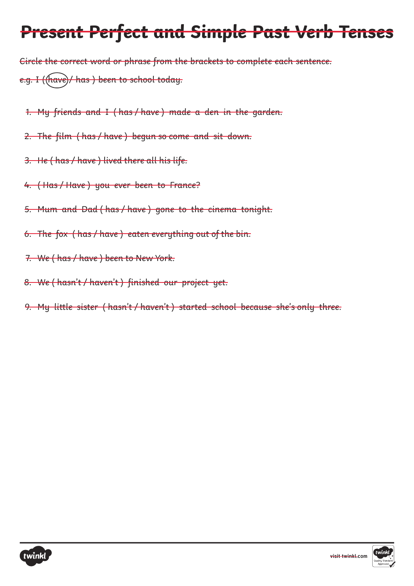Circle the correct word or phrase from the brackets to complete each sentence. e.g. I ((have)/ has ) been to school today.

- 1. My friends and I ( has / have ) made a den in the garden.
- 2. The film ( has / have ) begun so come and sit down.
- 3. He ( has / have ) lived there all his life.
- 4. ( Has / Have ) you ever been to France?
- 5. Mum and Dad ( has / have ) gone to the cinema tonight.
- 6. The fox ( has / have ) eaten everything out of the bin.
- 7. We ( has / have ) been to New York.
- 8. We ( hasn't / haven't ) finished our project yet.
- 9. My little sister ( hasn't / haven't ) started school because she's only three.



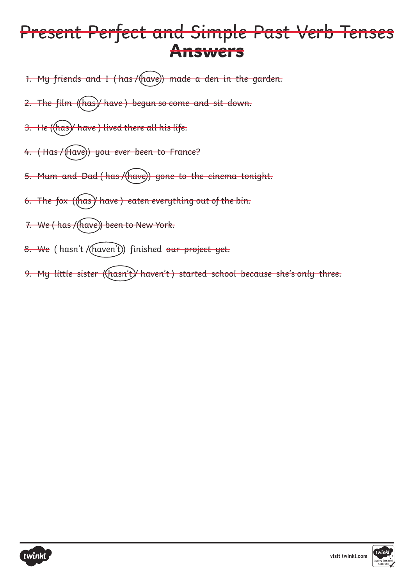- 1. My friends and I (has/(have)) made a den in the garden.
- 2. The film ((has) have) begun so come and sit down.
- 3. He ((has)/ have) lived there all his life.
- 4. (Has/(Have)) you ever been to France?
- 5. Mum and Dad (has / (have)) gone to the cinema tonight.
- 6. The fox ((has) have) eaten everything out of the bin.
- 7. We (has / (have)) been to New York.
- 8. We ( hasn't / (haven't)) finished our project yet.
- 9. My little sister ((hasn't)/ haven't) started school because she's only three.



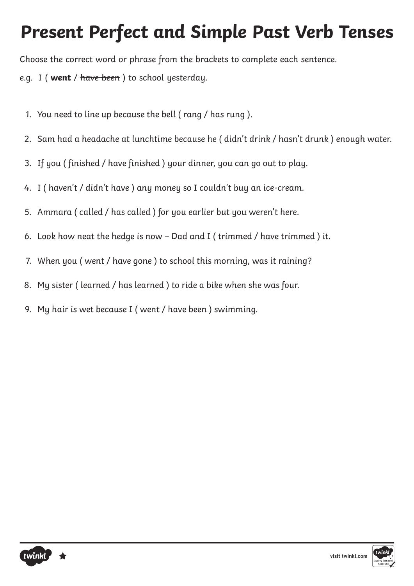Choose the correct word or phrase from the brackets to complete each sentence.

- e.g. I ( **went** / have been ) to school yesterday.
	- 1. You need to line up because the bell ( rang / has rung ).
	- 2. Sam had a headache at lunchtime because he ( didn't drink / hasn't drunk ) enough water.
	- 3. If you ( finished / have finished ) your dinner, you can go out to play.
	- 4. I ( haven't / didn't have ) any money so I couldn't buy an ice-cream.
	- 5. Ammara ( called / has called ) for you earlier but you weren't here.
	- 6. Look how neat the hedge is now Dad and I ( trimmed / have trimmed ) it.
	- 7. When you ( went / have gone ) to school this morning, was it raining?
	- 8. My sister ( learned / has learned ) to ride a bike when she was four.
	- 9. My hair is wet because I ( went / have been ) swimming.



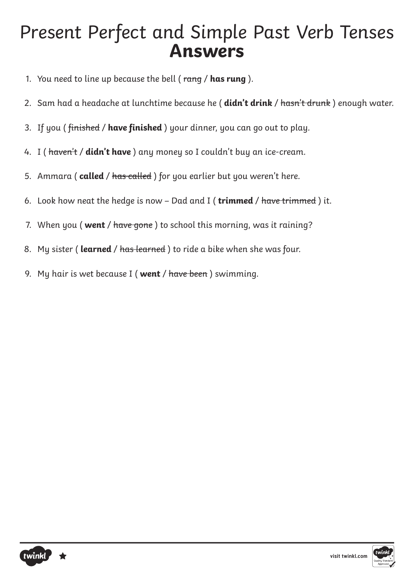- 1. You need to line up because the bell ( rang / **has rung** ).
- 2. Sam had a headache at lunchtime because he ( **didn't drink** / hasn't drunk ) enough water.
- 3. If you ( finished / **have finished** ) your dinner, you can go out to play.
- 4. I ( haven't / **didn't have** ) any money so I couldn't buy an ice-cream.
- 5. Ammara ( **called** / has called ) for you earlier but you weren't here.
- 6. Look how neat the hedge is now Dad and I ( **trimmed** / have trimmed ) it.
- 7. When you ( **went** / have gone ) to school this morning, was it raining?
- 8. My sister ( **learned** / has learned ) to ride a bike when she was four.
- 9. My hair is wet because I ( **went** / have been ) swimming.



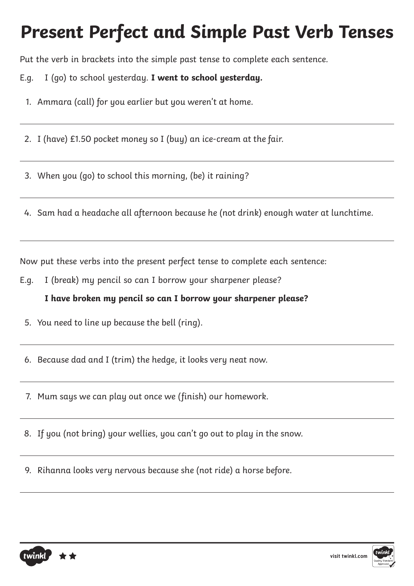Put the verb in brackets into the simple past tense to complete each sentence.

E.g. I (go) to school yesterday. **I went to school yesterday.**

- 1. Ammara (call) for you earlier but you weren't at home.
- 2. I (have) £1.50 pocket money so I (buy) an ice-cream at the fair.

3. When you (go) to school this morning, (be) it raining?

4. Sam had a headache all afternoon because he (not drink) enough water at lunchtime.

Now put these verbs into the present perfect tense to complete each sentence:

E.g. I (break) my pencil so can I borrow your sharpener please?

**I have broken my pencil so can I borrow your sharpener please?**

5. You need to line up because the bell (ring).

6. Because dad and I (trim) the hedge, it looks very neat now.

7. Mum says we can play out once we (finish) our homework.

8. If you (not bring) your wellies, you can't go out to play in the snow.

9. Rihanna looks very nervous because she (not ride) a horse before.



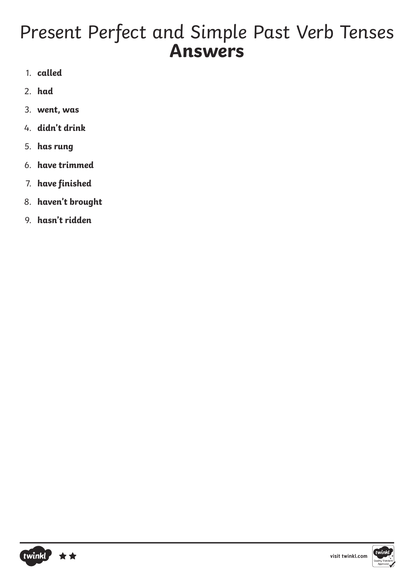- 1. **called**
- 2. **had**
- 3. **went, was**
- 4. **didn't drink**
- 5. **has rung**
- 6. **have trimmed**
- 7. **have finished**
- 8. **haven't brought**
- 9. **hasn't ridden**



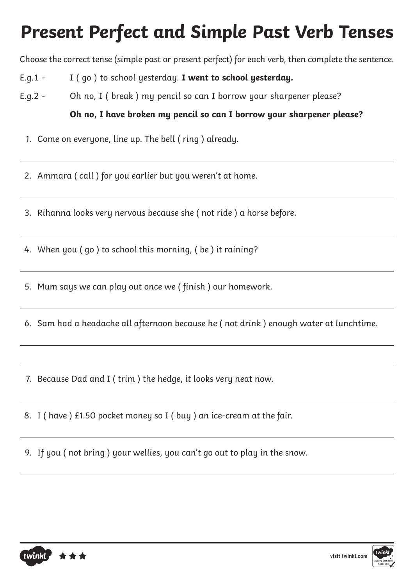Choose the correct tense (simple past or present perfect) for each verb, then complete the sentence.

- E.g.1 I ( go ) to school yesterday. **I went to school yesterday.**
- E.g.2 Oh no, I ( break ) my pencil so can I borrow your sharpener please?

#### **Oh no, I have broken my pencil so can I borrow your sharpener please?**

1. Come on everyone, line up. The bell ( ring ) already.

2. Ammara ( call ) for you earlier but you weren't at home.

3. Rihanna looks very nervous because she ( not ride ) a horse before.

4. When you ( go ) to school this morning, ( be ) it raining?

- 5. Mum says we can play out once we ( finish ) our homework.
- 6. Sam had a headache all afternoon because he ( not drink ) enough water at lunchtime.
- 7. Because Dad and I ( trim ) the hedge, it looks very neat now.
- 8. I ( have ) £1.50 pocket money so I ( buy ) an ice-cream at the fair.
- 9. If you ( not bring ) your wellies, you can't go out to play in the snow.